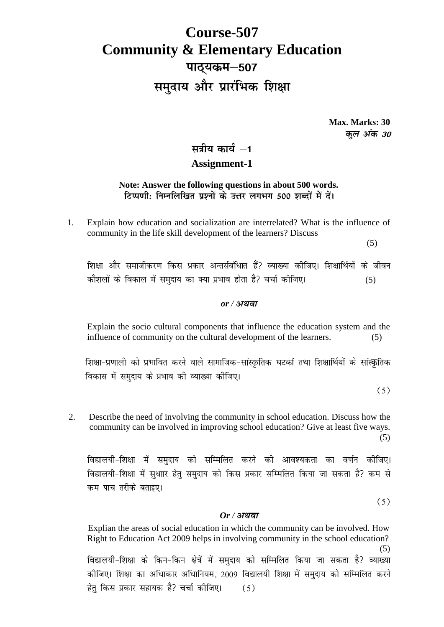# **Course-507 Community & Elementary Education** पाठ्यकम-507 समुदाय और प्रारंभिक शिक्षा

**Max. Marks: 30** कुल अंक 30

# सत्रीय कार्य –1 **Assignment-1**

### **Note: Answer the following questions in about 500 words.** टिप्पणी: निम्नलिखित प्रश्नों के उत्तर लगभग 500 शब्दों में दें।

1. Explain how education and socialization are interrelated? What is the influence of community in the life skill development of the learners? Discuss

(5)

शिक्षा और समाजीकरण किस प्रकार अन्तर्सबंधिात हैं? व्याख्या कीजिए। शिक्षार्थियों के जीवन कौशलों के विकाल में समुदाय का क्या प्रभाव होता है? चर्चा कीजिए। (5)

#### *or /*

Explain the socio cultural components that influence the education system and the influence of community on the cultural development of the learners. (5)

शिक्षा-प्रणाली को प्रभावित करने वाले सामाजिक-सांस्कृतिक घटकों तथा शिक्षार्थियों के सांस्कृतिक विकास में समुदाय के प्रभाव की व्याख्या कीजिए।

 $(5)$ 

2. Describe the need of involving the community in school education. Discuss how the community can be involved in improving school education? Give at least five ways. (5)

विद्यालयी-शिक्षा में समुदाय को सम्मिलित करने की आवश्यकता का वर्णन कीजिए। विद्यालयी-शिक्षा में सुधाार हेतु समुदाय को किस प्रकार सम्मिलित किया जा सकता है? कम से कम पाच तरीके बताइए।

 $(5)$ 

#### *Or /*

Explian the areas of social education in which the community can be involved. How Right to Education Act 2009 helps in involving community in the school education?  $(5)$ कोजिए। शिक्षा का अधिाकार अधिानियम, 2009 विद्यालयी शिक्षा में समुदाय को सम्मिलित करने हेतु किस प्रकार सहायक है? चर्चा कीजिए।  $(5)$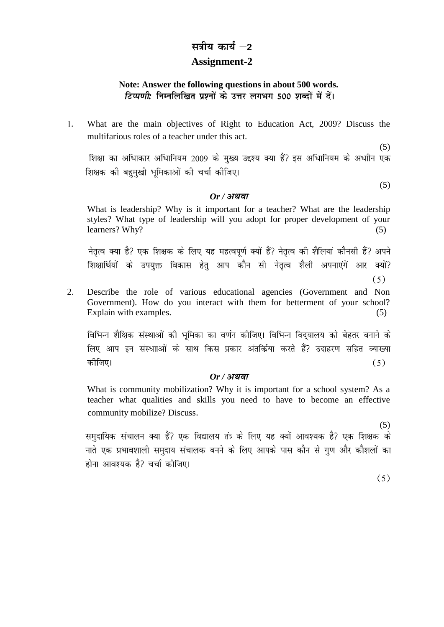# सत्रीय कार्य –2 **Assignment-2**

## **Note: Answer the following questions in about 500 words.** *टिप्पणी*: निम्नलिखित प्रश्नों के उत्तर लगभग 500 शब्दों में दें।

What are the main objectives of Right to Education Act, 2009? Discuss the  $1.$ multifarious roles of a teacher under this act.

(5)<br>शिक्षा का अधिाकार अधिानियम 2009 के मुख्य उद्दश्य क्या हैं? इस अधिानियम के अधाीन एक शिक्षक की बहुमुखी भूमिकाओं की चर्चा कीजिए।

#### *Or /*

What is leadership? Why is it important for a teacher? What are the leadership styles? What type of leadership will you adopt for proper development of your learners? Why? (5)

नेतत्व क्या है? एक शिक्षक के लिए यह महत्वपर्ण क्यों हैं? नेतत्व की शैलियां कौनसी हैं? अपने शिक्षार्थियों के उपयक्त विकास हेत आप कौन सी नेतत्व शैली अपनाएंगें आर क्यों?

 $(5)$ 

(5)

2. Describe the role of various educational agencies (Government and Non Government). How do you interact with them for betterment of your school? Explain with examples. (5)

विभिन्न शैक्षिक संस्थाओं की भूमिका का वर्णन कीजिए। विभिन्न विदयालय को बेहतर बनाने के लिए आप इन संस्थााओं के साथ किस प्रकार अंतर्किया करते हैं? उदाहरण सहित व्याख्या कीजिए।  $(5)$ 

## *Or /*

What is community mobilization? Why it is important for a school system? As a teacher what qualities and skills you need to have to become an effective community mobilize? Discuss**.**

समुदायिक संचालन क्या हैं? एक विद्यालय तंत्र के लिए यह क्यों आवश्यक है? एक शिक्षक के नाते एक प्रभावशाली समुदाय संचालक बनने के लिए आपके पास कौन से गुण और कौशलों का होना आवश्यक है? चर्चा कीजिए।

 $(5)$ 

(5)